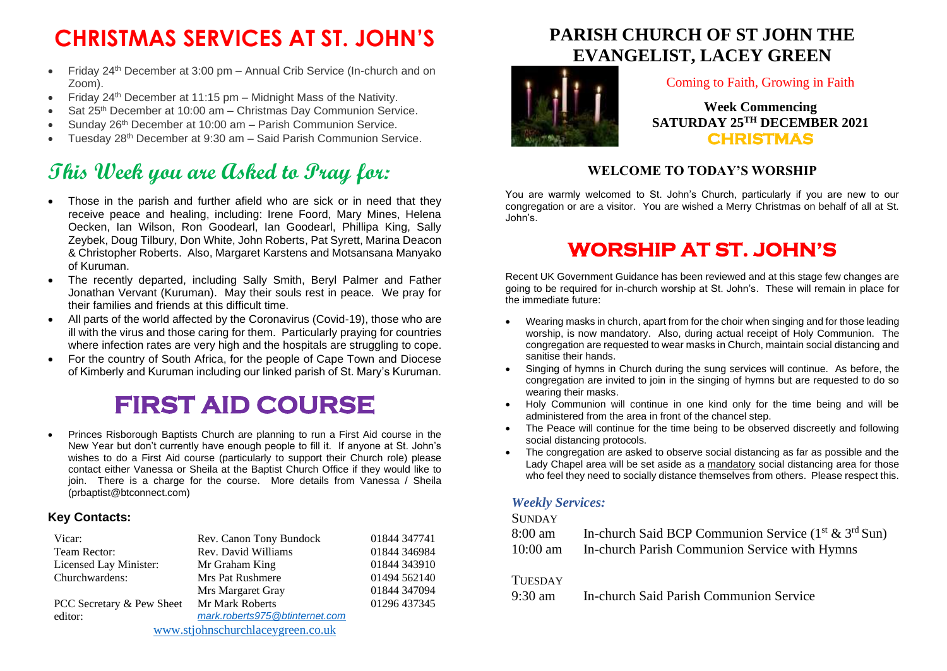# **CHRISTMAS SERVICES AT ST. JOHN'S**

- Friday 24<sup>th</sup> December at 3:00 pm Annual Crib Service (In-church and on Zoom).
- Friday 24<sup>th</sup> December at 11:15 pm Midnight Mass of the Nativity.
- Sat 25<sup>th</sup> December at 10:00 am Christmas Day Communion Service.
- Sunday 26<sup>th</sup> December at 10:00 am Parish Communion Service.
- Tuesday 28th December at 9:30 am Said Parish Communion Service.

## **This Week you are Asked to Pray for:**

- Those in the parish and further afield who are sick or in need that they receive peace and healing, including: Irene Foord, Mary Mines, Helena Oecken, Ian Wilson, Ron Goodearl, Ian Goodearl, Phillipa King, Sally Zeybek, Doug Tilbury, Don White, John Roberts, Pat Syrett, Marina Deacon & Christopher Roberts. Also, Margaret Karstens and Motsansana Manyako of Kuruman.
- The recently departed, including Sally Smith, Beryl Palmer and Father Jonathan Vervant (Kuruman). May their souls rest in peace. We pray for their families and friends at this difficult time.
- All parts of the world affected by the Coronavirus (Covid-19), those who are ill with the virus and those caring for them. Particularly praying for countries where infection rates are very high and the hospitals are struggling to cope.
- For the country of South Africa, for the people of Cape Town and Diocese of Kimberly and Kuruman including our linked parish of St. Mary's Kuruman.

# **FIRST AID COURSE**

• Princes Risborough Baptists Church are planning to run a First Aid course in the New Year but don't currently have enough people to fill it. If anyone at St. John's wishes to do a First Aid course (particularly to support their Church role) please contact either Vanessa or Sheila at the Baptist Church Office if they would like to join. There is a charge for the course. More details from Vanessa / Sheila (prbaptist@btconnect.com)

#### **Key Contacts:**

| Vicar:                            | Rev. Canon Tony Bundock        | 01844 347741 |
|-----------------------------------|--------------------------------|--------------|
| Team Rector:                      | Rev. David Williams            | 01844 346984 |
| Licensed Lay Minister:            | Mr Graham King                 | 01844 343910 |
| Churchwardens:                    | <b>Mrs Pat Rushmere</b>        | 01494 562140 |
|                                   | Mrs Margaret Gray              | 01844 347094 |
| PCC Secretary & Pew Sheet         | Mr Mark Roberts                | 01296 437345 |
| editor:                           | mark.roberts975@btinternet.com |              |
| www.stjohnschurchlaceygreen.co.uk |                                |              |

## **PARISH CHURCH OF ST JOHN THE EVANGELIST, LACEY GREEN**



#### Coming to Faith, Growing in Faith

**Week Commencing SATURDAY 25TH DECEMBER 2021 CHRISTMAS** 

#### **WELCOME TO TODAY'S WORSHIP**

You are warmly welcomed to St. John's Church, particularly if you are new to our congregation or are a visitor. You are wished a Merry Christmas on behalf of all at St. John's.

## **WORSHIP AT ST. JOHN'S**

Recent UK Government Guidance has been reviewed and at this stage few changes are going to be required for in-church worship at St. John's. These will remain in place for the immediate future:

- Wearing masks in church, apart from for the choir when singing and for those leading worship, is now mandatory. Also, during actual receipt of Holy Communion. The congregation are requested to wear masks in Church, maintain social distancing and sanitise their hands.
- Singing of hymns in Church during the sung services will continue. As before, the congregation are invited to join in the singing of hymns but are requested to do so wearing their masks.
- Holy Communion will continue in one kind only for the time being and will be administered from the area in front of the chancel step.
- The Peace will continue for the time being to be observed discreetly and following social distancing protocols.
- The congregation are asked to observe social distancing as far as possible and the Lady Chapel area will be set aside as a mandatory social distancing area for those who feel they need to socially distance themselves from others. Please respect this.

#### *Weekly Services:*

#### **SUNDAY**

| 8:00 am    | In-church Said BCP Communion Service $(1^{st} \& 3^{rd} Sun)$ |
|------------|---------------------------------------------------------------|
| $10:00$ am | In-church Parish Communion Service with Hymns                 |

#### **TUESDAY**

9:30 am In-church Said Parish Communion Service